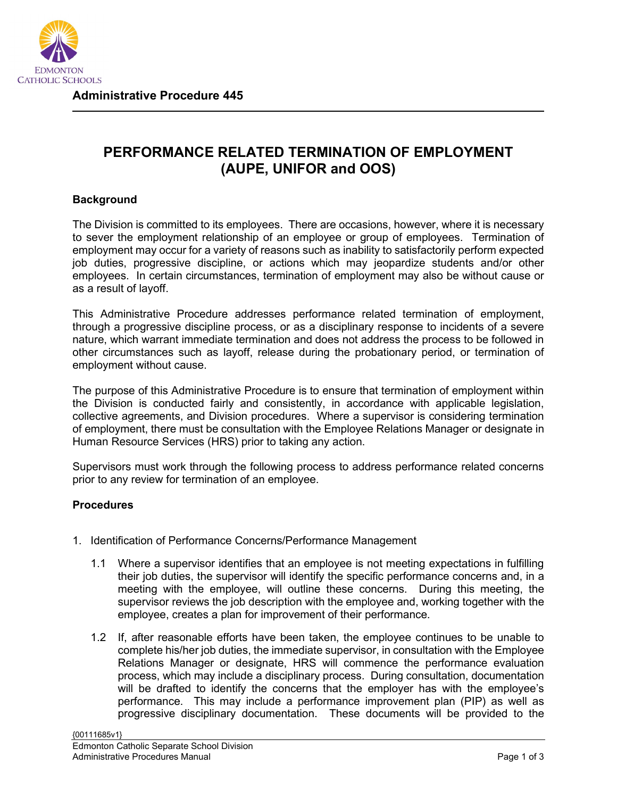

**Administrative Procedure 445**

## **PERFORMANCE RELATED TERMINATION OF EMPLOYMENT (AUPE, UNIFOR and OOS)**

## **Background**

The Division is committed to its employees. There are occasions, however, where it is necessary to sever the employment relationship of an employee or group of employees. Termination of employment may occur for a variety of reasons such as inability to satisfactorily perform expected job duties, progressive discipline, or actions which may jeopardize students and/or other employees. In certain circumstances, termination of employment may also be without cause or as a result of layoff.

This Administrative Procedure addresses performance related termination of employment, through a progressive discipline process, or as a disciplinary response to incidents of a severe nature, which warrant immediate termination and does not address the process to be followed in other circumstances such as layoff, release during the probationary period, or termination of employment without cause.

The purpose of this Administrative Procedure is to ensure that termination of employment within the Division is conducted fairly and consistently, in accordance with applicable legislation, collective agreements, and Division procedures. Where a supervisor is considering termination of employment, there must be consultation with the Employee Relations Manager or designate in Human Resource Services (HRS) prior to taking any action.

Supervisors must work through the following process to address performance related concerns prior to any review for termination of an employee.

## **Procedures**

- 1. Identification of Performance Concerns/Performance Management
	- 1.1 Where a supervisor identifies that an employee is not meeting expectations in fulfilling their job duties, the supervisor will identify the specific performance concerns and, in a meeting with the employee, will outline these concerns. During this meeting, the supervisor reviews the job description with the employee and, working together with the employee, creates a plan for improvement of their performance.
	- 1.2 If, after reasonable efforts have been taken, the employee continues to be unable to complete his/her job duties, the immediate supervisor, in consultation with the Employee Relations Manager or designate, HRS will commence the performance evaluation process, which may include a disciplinary process. During consultation, documentation will be drafted to identify the concerns that the employer has with the employee's performance. This may include a performance improvement plan (PIP) as well as progressive disciplinary documentation. These documents will be provided to the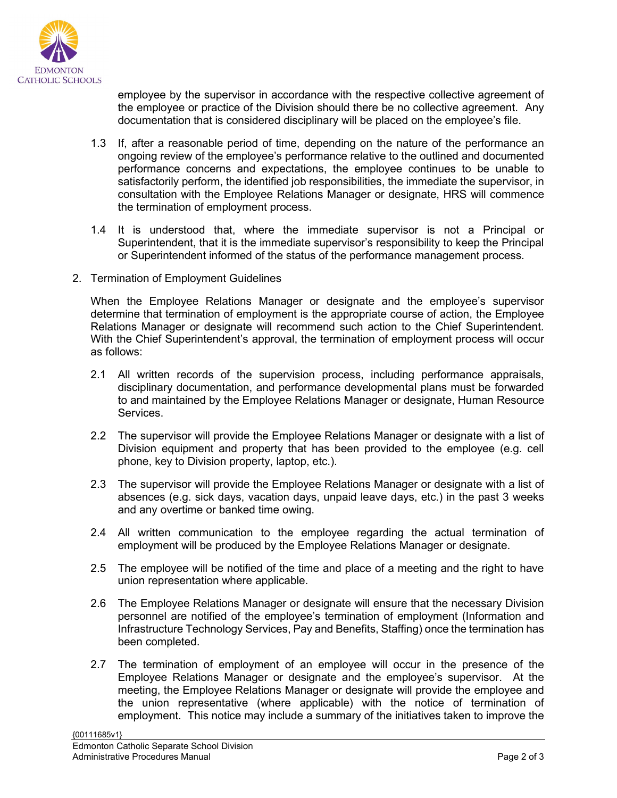

employee by the supervisor in accordance with the respective collective agreement of the employee or practice of the Division should there be no collective agreement. Any documentation that is considered disciplinary will be placed on the employee's file.

- 1.3 If, after a reasonable period of time, depending on the nature of the performance an ongoing review of the employee's performance relative to the outlined and documented performance concerns and expectations, the employee continues to be unable to satisfactorily perform, the identified job responsibilities, the immediate the supervisor, in consultation with the Employee Relations Manager or designate, HRS will commence the termination of employment process.
- 1.4 It is understood that, where the immediate supervisor is not a Principal or Superintendent, that it is the immediate supervisor's responsibility to keep the Principal or Superintendent informed of the status of the performance management process.
- 2. Termination of Employment Guidelines

When the Employee Relations Manager or designate and the employee's supervisor determine that termination of employment is the appropriate course of action, the Employee Relations Manager or designate will recommend such action to the Chief Superintendent. With the Chief Superintendent's approval, the termination of employment process will occur as follows:

- 2.1 All written records of the supervision process, including performance appraisals, disciplinary documentation, and performance developmental plans must be forwarded to and maintained by the Employee Relations Manager or designate, Human Resource Services.
- 2.2 The supervisor will provide the Employee Relations Manager or designate with a list of Division equipment and property that has been provided to the employee (e.g. cell phone, key to Division property, laptop, etc.).
- 2.3 The supervisor will provide the Employee Relations Manager or designate with a list of absences (e.g. sick days, vacation days, unpaid leave days, etc.) in the past 3 weeks and any overtime or banked time owing.
- 2.4 All written communication to the employee regarding the actual termination of employment will be produced by the Employee Relations Manager or designate.
- 2.5 The employee will be notified of the time and place of a meeting and the right to have union representation where applicable.
- 2.6 The Employee Relations Manager or designate will ensure that the necessary Division personnel are notified of the employee's termination of employment (Information and Infrastructure Technology Services, Pay and Benefits, Staffing) once the termination has been completed.
- 2.7 The termination of employment of an employee will occur in the presence of the Employee Relations Manager or designate and the employee's supervisor. At the meeting, the Employee Relations Manager or designate will provide the employee and the union representative (where applicable) with the notice of termination of employment. This notice may include a summary of the initiatives taken to improve the